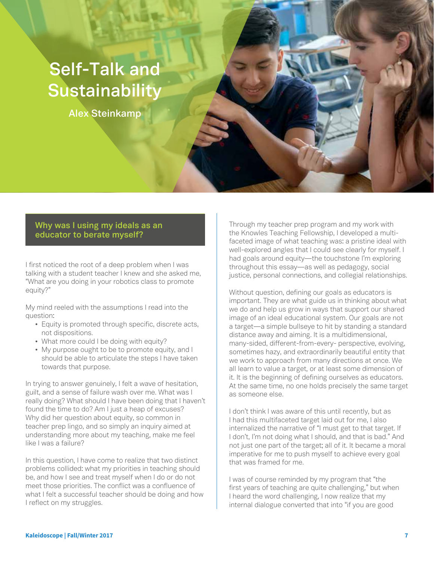## **Self-Talk and Sustainability**

**Alex Steinkamp**

## **Why was I using my ideals as an educator to berate myself?**

I first noticed the root of a deep problem when I was talking with a student teacher I knew and she asked me, "What are you doing in your robotics class to promote equity?"

My mind reeled with the assumptions I read into the question:

- Equity is promoted through specific, discrete acts, not dispositions.
- What more could I be doing with equity?
- My purpose ought to be to promote equity, and I should be able to articulate the steps I have taken towards that purpose.

In trying to answer genuinely, I felt a wave of hesitation, guilt, and a sense of failure wash over me. What was I really doing? What should I have been doing that I haven't found the time to do? Am I just a heap of excuses? Why did her question about equity, so common in teacher prep lingo, and so simply an inquiry aimed at understanding more about my teaching, make me feel like I was a failure?

In this question, I have come to realize that two distinct problems collided: what my priorities in teaching should be, and how I see and treat myself when I do or do not meet those priorities. The conflict was a confluence of what I felt a successful teacher should be doing and how I reflect on my struggles.

Through my teacher prep program and my work with the Knowles Teaching Fellowship, I developed a multifaceted image of what teaching was: a pristine ideal with well-explored angles that I could see clearly for myself. I had goals around equity—the touchstone I'm exploring throughout this essay—as well as pedagogy, social justice, personal connections, and collegial relationships.

Without question, defining our goals as educators is important. They are what guide us in thinking about what we do and help us grow in ways that support our shared image of an ideal educational system. Our goals are not a target—a simple bullseye to hit by standing a standard distance away and aiming. It is a multidimensional, many-sided, different-from-every- perspective, evolving, sometimes hazy, and extraordinarily beautiful entity that we work to approach from many directions at once. We all learn to value a target, or at least some dimension of it. It is the beginning of defining ourselves as educators. At the same time, no one holds precisely the same target as someone else.

I don't think I was aware of this until recently, but as I had this multifaceted target laid out for me, I also internalized the narrative of "I must get to that target. If I don't, I'm not doing what I should, and that is bad." And not just one part of the target; all of it. It became a moral imperative for me to push myself to achieve every goal that was framed for me.

I was of course reminded by my program that "the first years of teaching are quite challenging," but when I heard the word challenging, I now realize that my internal dialogue converted that into "if you are good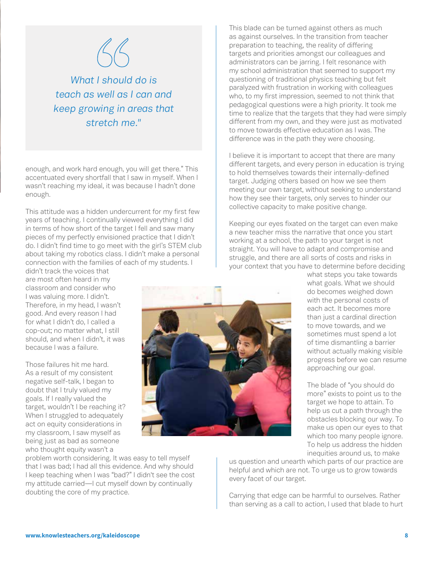

*What I should do is teach as well as I can and keep growing in areas that stretch me."*

enough, and work hard enough, you will get there." This accentuated every shortfall that I saw in myself. When I wasn't reaching my ideal, it was because I hadn't done enough.

This attitude was a hidden undercurrent for my first few years of teaching. I continually viewed everything I did in terms of how short of the target I fell and saw many pieces of my perfectly envisioned practice that I didn't do. I didn't find time to go meet with the girl's STEM club about taking my robotics class. I didn't make a personal connection with the families of each of my students. I

didn't track the voices that are most often heard in my classroom and consider who I was valuing more. I didn't. Therefore, in my head, I wasn't good. And every reason I had for what I didn't do, I called a cop-out; no matter what, I still should, and when I didn't, it was because I was a failure.

Those failures hit me hard. As a result of my consistent negative self-talk, I began to doubt that I truly valued my goals. If I really valued the target, wouldn't I be reaching it? When I struggled to adequately act on equity considerations in my classroom, I saw myself as being just as bad as someone who thought equity wasn't a

problem worth considering. It was easy to tell myself that I was bad; I had all this evidence. And why should I keep teaching when I was "bad?" I didn't see the cost my attitude carried—I cut myself down by continually doubting the core of my practice.

This blade can be turned against others as much as against ourselves. In the transition from teacher preparation to teaching, the reality of differing targets and priorities amongst our colleagues and administrators can be jarring. I felt resonance with my school administration that seemed to support my questioning of traditional physics teaching but felt paralyzed with frustration in working with colleagues who, to my first impression, seemed to not think that pedagogical questions were a high priority. It took me time to realize that the targets that they had were simply different from my own, and they were just as motivated to move towards effective education as I was. The difference was in the path they were choosing.

I believe it is important to accept that there are many different targets, and every person in education is trying to hold themselves towards their internally-defined target. Judging others based on how we see them meeting our own target, without seeking to understand how they see their targets, only serves to hinder our collective capacity to make positive change.

Keeping our eyes fixated on the target can even make a new teacher miss the narrative that once you start working at a school, the path to your target is not straight. You will have to adapt and compromise and struggle, and there are all sorts of costs and risks in your context that you have to determine before deciding

> what steps you take towards what goals. What we should do becomes weighed down with the personal costs of each act. It becomes more than just a cardinal direction to move towards, and we sometimes must spend a lot of time dismantling a barrier without actually making visible progress before we can resume approaching our goal.

The blade of "you should do more" exists to point us to the target we hope to attain. To help us cut a path through the obstacles blocking our way. To make us open our eyes to that which too many people ignore. To help us address the hidden inequities around us, to make

us question and unearth which parts of our practice are helpful and which are not. To urge us to grow towards every facet of our target.

Carrying that edge can be harmful to ourselves. Rather than serving as a call to action, I used that blade to hurt